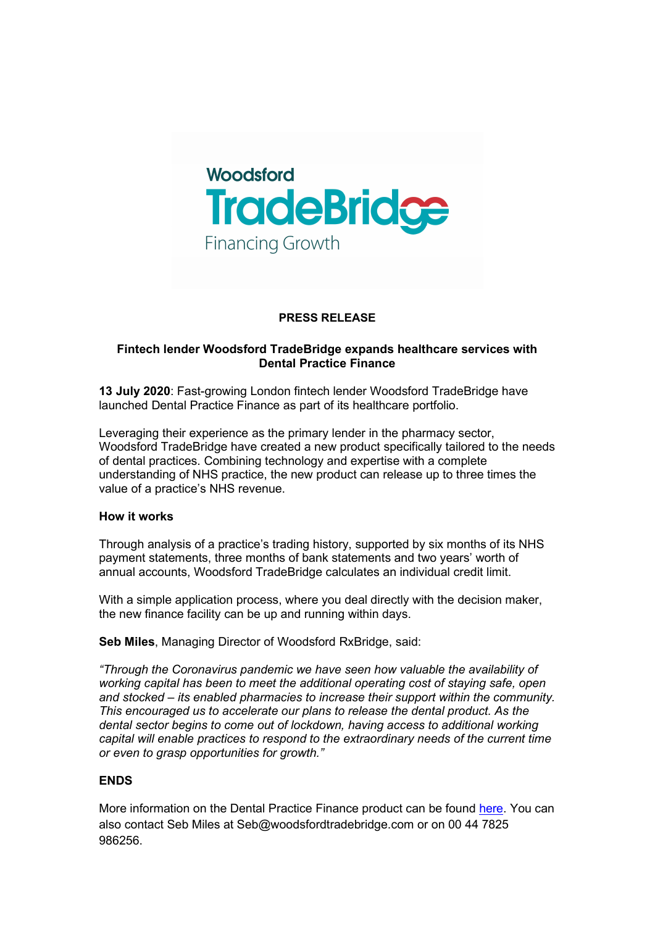

## PRESS RELEASE

# Fintech lender Woodsford TradeBridge expands healthcare services with Dental Practice Finance

13 July 2020: Fast-growing London fintech lender Woodsford TradeBridge have launched Dental Practice Finance as part of its healthcare portfolio.

Leveraging their experience as the primary lender in the pharmacy sector, Woodsford TradeBridge have created a new product specifically tailored to the needs of dental practices. Combining technology and expertise with a complete understanding of NHS practice, the new product can release up to three times the value of a practice's NHS revenue.

#### How it works

Through analysis of a practice's trading history, supported by six months of its NHS payment statements, three months of bank statements and two years' worth of annual accounts, Woodsford TradeBridge calculates an individual credit limit.

With a simple application process, where you deal directly with the decision maker, the new finance facility can be up and running within days.

Seb Miles, Managing Director of Woodsford RxBridge, said:

"Through the Coronavirus pandemic we have seen how valuable the availability of working capital has been to meet the additional operating cost of staying safe, open and stocked – its enabled pharmacies to increase their support within the community. This encouraged us to accelerate our plans to release the dental product. As the dental sector begins to come out of lockdown, having access to additional working capital will enable practices to respond to the extraordinary needs of the current time or even to grasp opportunities for growth."

# **ENDS**

More information on the Dental Practice Finance product can be found here. You can also contact Seb Miles at Seb@woodsfordtradebridge.com or on 00 44 7825 986256.